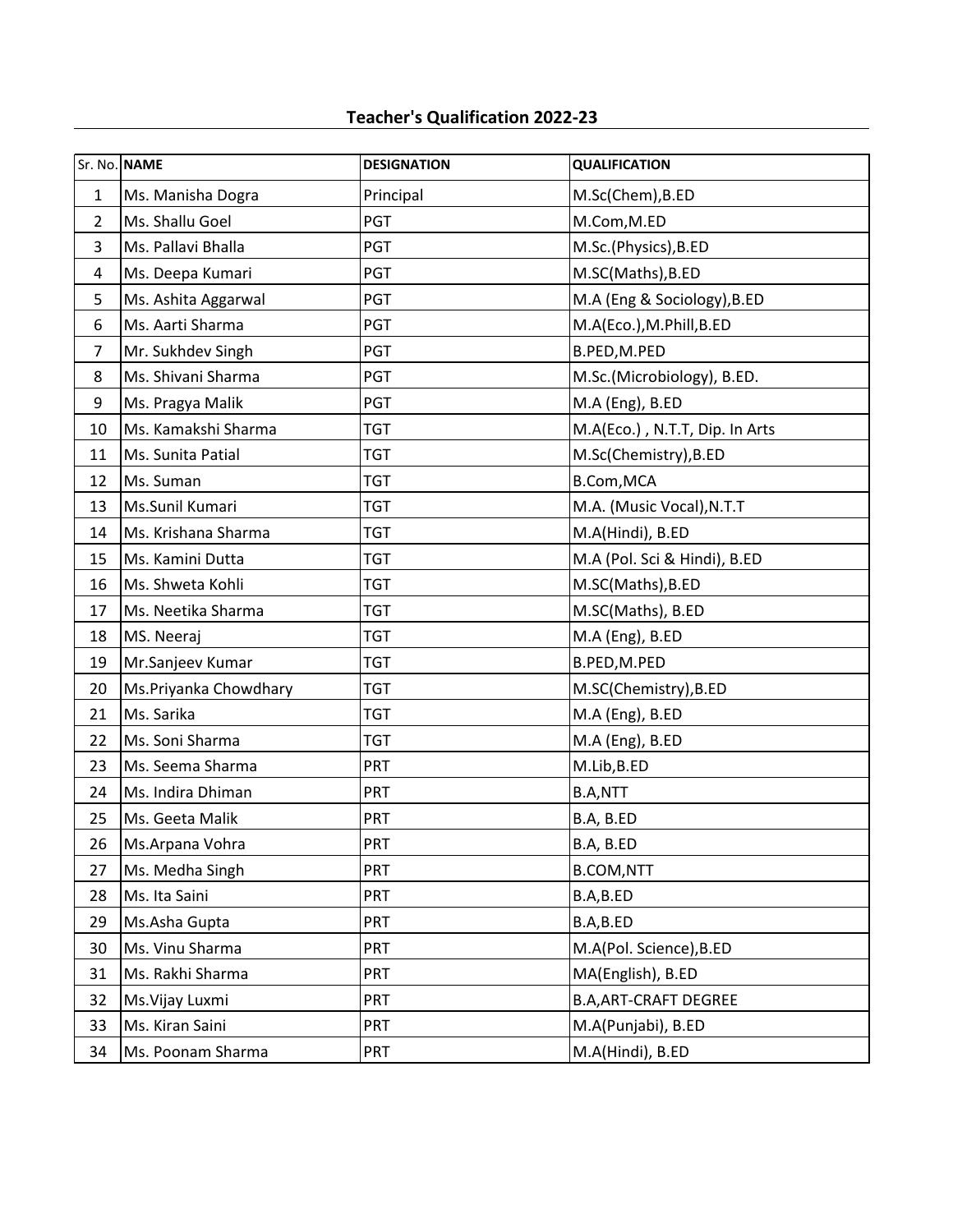## **Teacher's Qualification 2022-23**

|                         | Sr. No. NAME          | <b>DESIGNATION</b> | <b>QUALIFICATION</b>           |
|-------------------------|-----------------------|--------------------|--------------------------------|
| $\mathbf 1$             | Ms. Manisha Dogra     | Principal          | M.Sc(Chem), B.ED               |
| $\overline{2}$          | Ms. Shallu Goel       | PGT                | M.Com, M.ED                    |
| 3                       | Ms. Pallavi Bhalla    | PGT                | M.Sc.(Physics), B.ED           |
| $\overline{\mathbf{4}}$ | Ms. Deepa Kumari      | PGT                | M.SC(Maths), B.ED              |
| 5                       | Ms. Ashita Aggarwal   | <b>PGT</b>         | M.A (Eng & Sociology), B.ED    |
| 6                       | Ms. Aarti Sharma      | PGT                | M.A(Eco.), M.Phill, B.ED       |
| $\overline{7}$          | Mr. Sukhdev Singh     | PGT                | B.PED,M.PED                    |
| 8                       | Ms. Shivani Sharma    | PGT                | M.Sc.(Microbiology), B.ED.     |
| 9                       | Ms. Pragya Malik      | PGT                | M.A (Eng), B.ED                |
| 10                      | Ms. Kamakshi Sharma   | <b>TGT</b>         | M.A(Eco.), N.T.T, Dip. In Arts |
| 11                      | Ms. Sunita Patial     | <b>TGT</b>         | M.Sc(Chemistry), B.ED          |
| 12                      | Ms. Suman             | <b>TGT</b>         | B.Com, MCA                     |
| 13                      | Ms.Sunil Kumari       | <b>TGT</b>         | M.A. (Music Vocal), N.T.T      |
| 14                      | Ms. Krishana Sharma   | <b>TGT</b>         | M.A(Hindi), B.ED               |
| 15                      | Ms. Kamini Dutta      | <b>TGT</b>         | M.A (Pol. Sci & Hindi), B.ED   |
| 16                      | Ms. Shweta Kohli      | <b>TGT</b>         | M.SC(Maths), B.ED              |
| 17                      | Ms. Neetika Sharma    | <b>TGT</b>         | M.SC(Maths), B.ED              |
| 18                      | MS. Neeraj            | <b>TGT</b>         | M.A (Eng), B.ED                |
| 19                      | Mr.Sanjeev Kumar      | <b>TGT</b>         | B.PED, M.PED                   |
| 20                      | Ms.Priyanka Chowdhary | <b>TGT</b>         | M.SC(Chemistry), B.ED          |
| 21                      | Ms. Sarika            | <b>TGT</b>         | M.A (Eng), B.ED                |
| 22                      | Ms. Soni Sharma       | <b>TGT</b>         | M.A (Eng), B.ED                |
| 23                      | Ms. Seema Sharma      | <b>PRT</b>         | M.Lib, B.ED                    |
| 24                      | Ms. Indira Dhiman     | PRT                | B.A,NTT                        |
| 25                      | Ms. Geeta Malik       | PRT                | B.A, B.ED                      |
| 26                      | Ms.Arpana Vohra       | <b>PRT</b>         | B.A, B.ED                      |
| 27                      | Ms. Medha Singh       | <b>PRT</b>         | <b>B.COM,NTT</b>               |
| 28                      | Ms. Ita Saini         | <b>PRT</b>         | B.A,B.ED                       |
| 29                      | Ms.Asha Gupta         | PRT                | B.A,B.ED                       |
| 30                      | Ms. Vinu Sharma       | <b>PRT</b>         | M.A(Pol. Science), B.ED        |
| 31                      | Ms. Rakhi Sharma      | <b>PRT</b>         | MA(English), B.ED              |
| 32                      | Ms. Vijay Luxmi       | PRT                | <b>B.A, ART-CRAFT DEGREE</b>   |
| 33                      | Ms. Kiran Saini       | <b>PRT</b>         | M.A(Punjabi), B.ED             |
| 34                      | Ms. Poonam Sharma     | <b>PRT</b>         | M.A(Hindi), B.ED               |